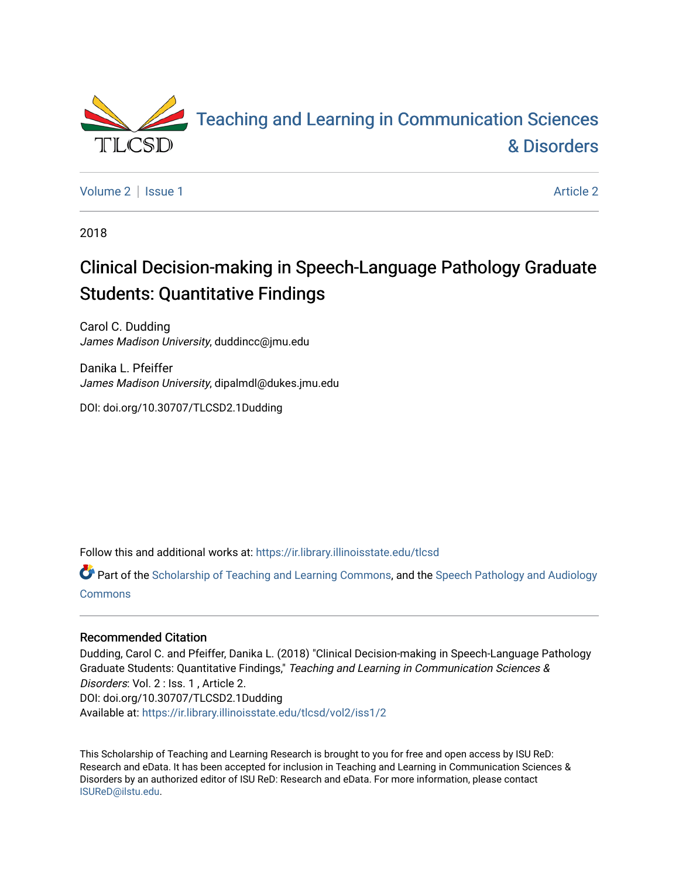

[Volume 2](https://ir.library.illinoisstate.edu/tlcsd/vol2) | [Issue 1](https://ir.library.illinoisstate.edu/tlcsd/vol2/iss1) [Article 2](https://ir.library.illinoisstate.edu/tlcsd/vol2/iss1/2) | Article 2 Article 2 | Article 2 | Article 2 | Article 2 | Article 2 | Article 2

2018

# Clinical Decision-making in Speech-Language Pathology Graduate Students: Quantitative Findings

Carol C. Dudding James Madison University, duddincc@jmu.edu

Danika L. Pfeiffer James Madison University, dipalmdl@dukes.jmu.edu

DOI: doi.org/10.30707/TLCSD2.1Dudding

Follow this and additional works at: [https://ir.library.illinoisstate.edu/tlcsd](https://ir.library.illinoisstate.edu/tlcsd?utm_source=ir.library.illinoisstate.edu%2Ftlcsd%2Fvol2%2Fiss1%2F2&utm_medium=PDF&utm_campaign=PDFCoverPages)

Part of the [Scholarship of Teaching and Learning Commons,](http://network.bepress.com/hgg/discipline/1328?utm_source=ir.library.illinoisstate.edu%2Ftlcsd%2Fvol2%2Fiss1%2F2&utm_medium=PDF&utm_campaign=PDFCoverPages) and the [Speech Pathology and Audiology](http://network.bepress.com/hgg/discipline/1035?utm_source=ir.library.illinoisstate.edu%2Ftlcsd%2Fvol2%2Fiss1%2F2&utm_medium=PDF&utm_campaign=PDFCoverPages)  [Commons](http://network.bepress.com/hgg/discipline/1035?utm_source=ir.library.illinoisstate.edu%2Ftlcsd%2Fvol2%2Fiss1%2F2&utm_medium=PDF&utm_campaign=PDFCoverPages)

#### Recommended Citation

Dudding, Carol C. and Pfeiffer, Danika L. (2018) "Clinical Decision-making in Speech-Language Pathology Graduate Students: Quantitative Findings," Teaching and Learning in Communication Sciences & Disorders: Vol. 2 : Iss. 1, Article 2. DOI: doi.org/10.30707/TLCSD2.1Dudding Available at: [https://ir.library.illinoisstate.edu/tlcsd/vol2/iss1/2](https://ir.library.illinoisstate.edu/tlcsd/vol2/iss1/2?utm_source=ir.library.illinoisstate.edu%2Ftlcsd%2Fvol2%2Fiss1%2F2&utm_medium=PDF&utm_campaign=PDFCoverPages) 

This Scholarship of Teaching and Learning Research is brought to you for free and open access by ISU ReD: Research and eData. It has been accepted for inclusion in Teaching and Learning in Communication Sciences & Disorders by an authorized editor of ISU ReD: Research and eData. For more information, please contact [ISUReD@ilstu.edu](mailto:ISUReD@ilstu.edu).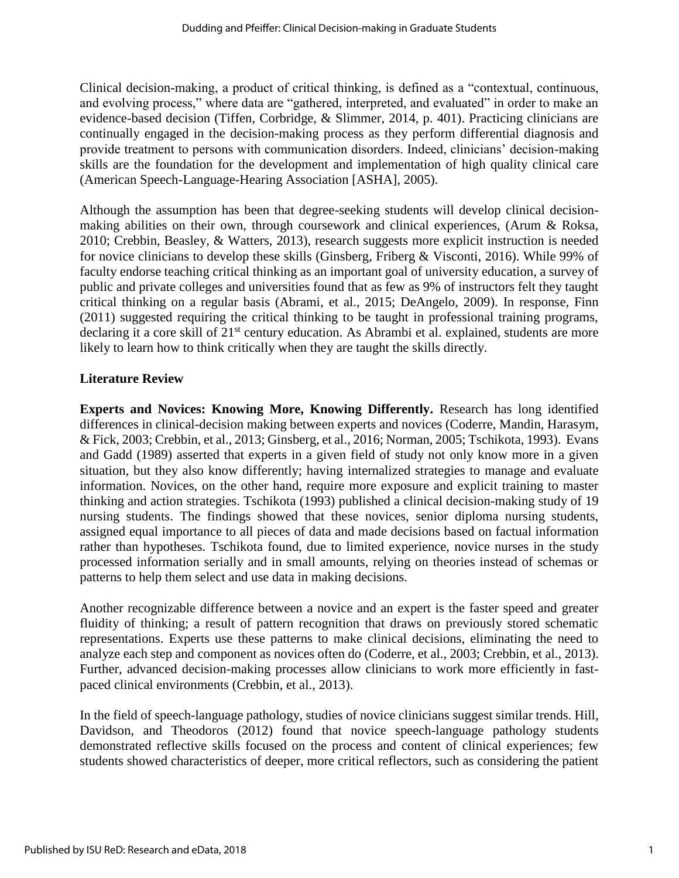Clinical decision-making, a product of critical thinking, is defined as a "contextual, continuous, and evolving process," where data are "gathered, interpreted, and evaluated" in order to make an evidence-based decision (Tiffen, Corbridge, & Slimmer, 2014, p. 401). Practicing clinicians are continually engaged in the decision-making process as they perform differential diagnosis and provide treatment to persons with communication disorders. Indeed, clinicians' decision-making skills are the foundation for the development and implementation of high quality clinical care (American Speech-Language-Hearing Association [ASHA], 2005).

Although the assumption has been that degree-seeking students will develop clinical decisionmaking abilities on their own, through coursework and clinical experiences, (Arum & Roksa, 2010; Crebbin, Beasley, & Watters, 2013), research suggests more explicit instruction is needed for novice clinicians to develop these skills (Ginsberg, Friberg & Visconti, 2016). While 99% of faculty endorse teaching critical thinking as an important goal of university education, a survey of public and private colleges and universities found that as few as 9% of instructors felt they taught critical thinking on a regular basis (Abrami, et al., 2015; DeAngelo, 2009). In response, Finn (2011) suggested requiring the critical thinking to be taught in professional training programs, declaring it a core skill of 21<sup>st</sup> century education. As Abrambi et al. explained, students are more likely to learn how to think critically when they are taught the skills directly.

#### **Literature Review**

**Experts and Novices: Knowing More, Knowing Differently.** Research has long identified differences in clinical-decision making between experts and novices (Coderre, Mandin, Harasym, & Fick, 2003; Crebbin, et al., 2013; Ginsberg, et al., 2016; Norman, 2005; Tschikota, 1993). Evans and Gadd (1989) asserted that experts in a given field of study not only know more in a given situation, but they also know differently; having internalized strategies to manage and evaluate information. Novices, on the other hand, require more exposure and explicit training to master thinking and action strategies. Tschikota (1993) published a clinical decision-making study of 19 nursing students. The findings showed that these novices, senior diploma nursing students, assigned equal importance to all pieces of data and made decisions based on factual information rather than hypotheses. Tschikota found, due to limited experience, novice nurses in the study processed information serially and in small amounts, relying on theories instead of schemas or patterns to help them select and use data in making decisions.

Another recognizable difference between a novice and an expert is the faster speed and greater fluidity of thinking; a result of pattern recognition that draws on previously stored schematic representations. Experts use these patterns to make clinical decisions, eliminating the need to analyze each step and component as novices often do (Coderre, et al., 2003; Crebbin, et al., 2013). Further, advanced decision-making processes allow clinicians to work more efficiently in fastpaced clinical environments (Crebbin, et al., 2013).

In the field of speech-language pathology, studies of novice clinicians suggest similar trends. Hill, Davidson, and Theodoros (2012) found that novice speech-language pathology students demonstrated reflective skills focused on the process and content of clinical experiences; few students showed characteristics of deeper, more critical reflectors, such as considering the patient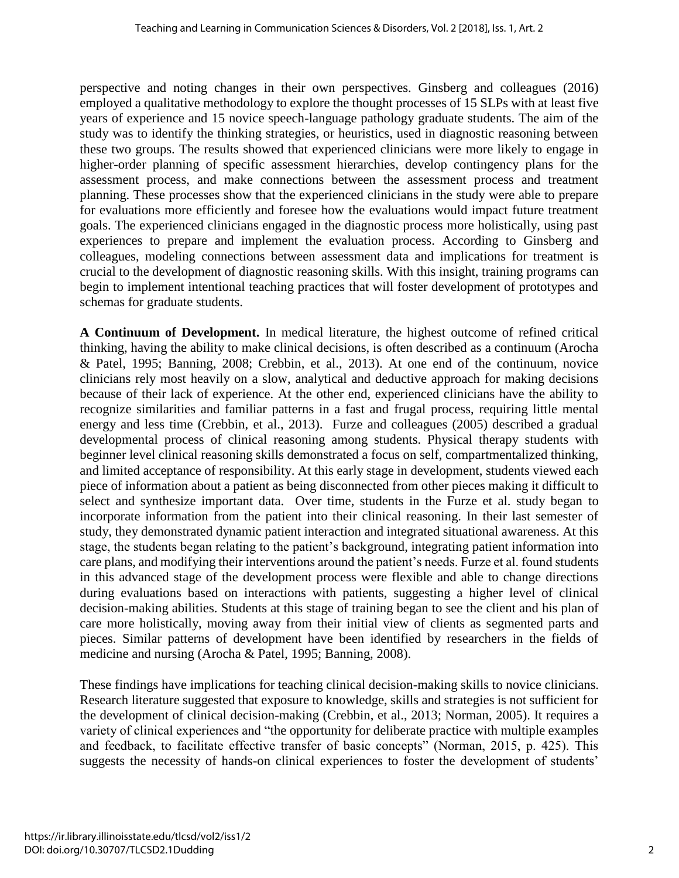perspective and noting changes in their own perspectives. Ginsberg and colleagues (2016) employed a qualitative methodology to explore the thought processes of 15 SLPs with at least five years of experience and 15 novice speech-language pathology graduate students. The aim of the study was to identify the thinking strategies, or heuristics, used in diagnostic reasoning between these two groups. The results showed that experienced clinicians were more likely to engage in higher-order planning of specific assessment hierarchies, develop contingency plans for the assessment process, and make connections between the assessment process and treatment planning. These processes show that the experienced clinicians in the study were able to prepare for evaluations more efficiently and foresee how the evaluations would impact future treatment goals. The experienced clinicians engaged in the diagnostic process more holistically, using past experiences to prepare and implement the evaluation process. According to Ginsberg and colleagues, modeling connections between assessment data and implications for treatment is crucial to the development of diagnostic reasoning skills. With this insight, training programs can begin to implement intentional teaching practices that will foster development of prototypes and schemas for graduate students.

**A Continuum of Development.** In medical literature, the highest outcome of refined critical thinking, having the ability to make clinical decisions, is often described as a continuum (Arocha & Patel, 1995; Banning, 2008; Crebbin, et al., 2013). At one end of the continuum, novice clinicians rely most heavily on a slow, analytical and deductive approach for making decisions because of their lack of experience. At the other end, experienced clinicians have the ability to recognize similarities and familiar patterns in a fast and frugal process, requiring little mental energy and less time (Crebbin, et al., 2013). Furze and colleagues (2005) described a gradual developmental process of clinical reasoning among students. Physical therapy students with beginner level clinical reasoning skills demonstrated a focus on self, compartmentalized thinking, and limited acceptance of responsibility. At this early stage in development, students viewed each piece of information about a patient as being disconnected from other pieces making it difficult to select and synthesize important data. Over time, students in the Furze et al. study began to incorporate information from the patient into their clinical reasoning. In their last semester of study, they demonstrated dynamic patient interaction and integrated situational awareness. At this stage, the students began relating to the patient's background, integrating patient information into care plans, and modifying their interventions around the patient's needs. Furze et al. found students in this advanced stage of the development process were flexible and able to change directions during evaluations based on interactions with patients, suggesting a higher level of clinical decision-making abilities. Students at this stage of training began to see the client and his plan of care more holistically, moving away from their initial view of clients as segmented parts and pieces. Similar patterns of development have been identified by researchers in the fields of medicine and nursing (Arocha & Patel, 1995; Banning, 2008).

These findings have implications for teaching clinical decision-making skills to novice clinicians. Research literature suggested that exposure to knowledge, skills and strategies is not sufficient for the development of clinical decision-making (Crebbin, et al., 2013; Norman, 2005). It requires a variety of clinical experiences and "the opportunity for deliberate practice with multiple examples and feedback, to facilitate effective transfer of basic concepts" (Norman, 2015, p. 425). This suggests the necessity of hands-on clinical experiences to foster the development of students'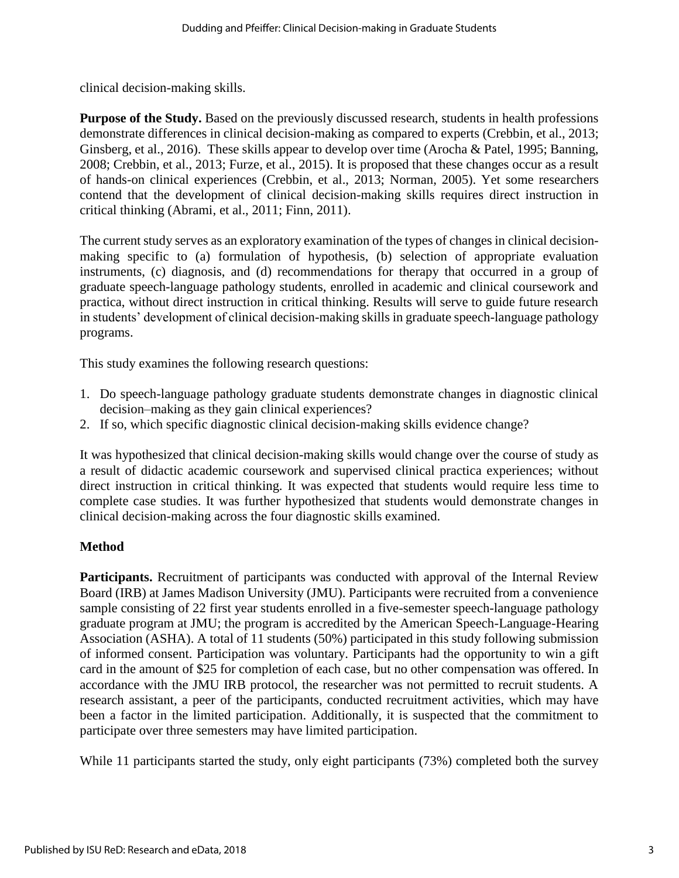clinical decision-making skills.

**Purpose of the Study.** Based on the previously discussed research, students in health professions demonstrate differences in clinical decision-making as compared to experts (Crebbin, et al., 2013; Ginsberg, et al., 2016). These skills appear to develop over time (Arocha & Patel, 1995; Banning, 2008; Crebbin, et al., 2013; Furze, et al., 2015). It is proposed that these changes occur as a result of hands-on clinical experiences (Crebbin, et al., 2013; Norman, 2005). Yet some researchers contend that the development of clinical decision-making skills requires direct instruction in critical thinking (Abrami, et al., 2011; Finn, 2011).

The current study serves as an exploratory examination of the types of changes in clinical decisionmaking specific to (a) formulation of hypothesis, (b) selection of appropriate evaluation instruments, (c) diagnosis, and (d) recommendations for therapy that occurred in a group of graduate speech-language pathology students, enrolled in academic and clinical coursework and practica, without direct instruction in critical thinking. Results will serve to guide future research in students' development of clinical decision-making skills in graduate speech-language pathology programs.

This study examines the following research questions:

- 1. Do speech-language pathology graduate students demonstrate changes in diagnostic clinical decision–making as they gain clinical experiences?
- 2. If so, which specific diagnostic clinical decision-making skills evidence change?

It was hypothesized that clinical decision-making skills would change over the course of study as a result of didactic academic coursework and supervised clinical practica experiences; without direct instruction in critical thinking. It was expected that students would require less time to complete case studies. It was further hypothesized that students would demonstrate changes in clinical decision-making across the four diagnostic skills examined.

#### **Method**

Participants. Recruitment of participants was conducted with approval of the Internal Review Board (IRB) at James Madison University (JMU). Participants were recruited from a convenience sample consisting of 22 first year students enrolled in a five-semester speech-language pathology graduate program at JMU; the program is accredited by the American Speech-Language-Hearing Association (ASHA). A total of 11 students (50%) participated in this study following submission of informed consent. Participation was voluntary. Participants had the opportunity to win a gift card in the amount of \$25 for completion of each case, but no other compensation was offered. In accordance with the JMU IRB protocol, the researcher was not permitted to recruit students. A research assistant, a peer of the participants, conducted recruitment activities, which may have been a factor in the limited participation. Additionally, it is suspected that the commitment to participate over three semesters may have limited participation.

While 11 participants started the study, only eight participants (73%) completed both the survey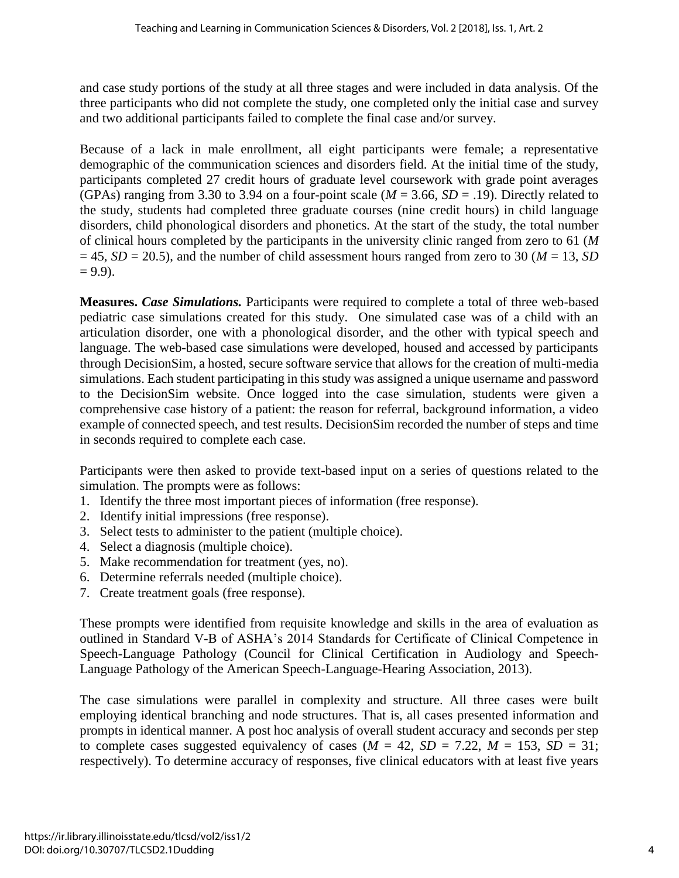and case study portions of the study at all three stages and were included in data analysis. Of the three participants who did not complete the study, one completed only the initial case and survey and two additional participants failed to complete the final case and/or survey.

Because of a lack in male enrollment, all eight participants were female; a representative demographic of the communication sciences and disorders field. At the initial time of the study, participants completed 27 credit hours of graduate level coursework with grade point averages (GPAs) ranging from 3.30 to 3.94 on a four-point scale ( $M = 3.66$ ,  $SD = .19$ ). Directly related to the study, students had completed three graduate courses (nine credit hours) in child language disorders, child phonological disorders and phonetics. At the start of the study, the total number of clinical hours completed by the participants in the university clinic ranged from zero to 61 (*M*  $= 45$ , *SD* = 20.5), and the number of child assessment hours ranged from zero to 30 (*M* = 13, *SD*)  $= 9.9$ ).

**Measures.** *Case Simulations.* Participants were required to complete a total of three web-based pediatric case simulations created for this study. One simulated case was of a child with an articulation disorder, one with a phonological disorder, and the other with typical speech and language. The web-based case simulations were developed, housed and accessed by participants through DecisionSim, a hosted, secure software service that allows for the creation of multi-media simulations. Each student participating in this study was assigned a unique username and password to the DecisionSim website. Once logged into the case simulation, students were given a comprehensive case history of a patient: the reason for referral, background information, a video example of connected speech, and test results. DecisionSim recorded the number of steps and time in seconds required to complete each case.

Participants were then asked to provide text-based input on a series of questions related to the simulation. The prompts were as follows:

- 1. Identify the three most important pieces of information (free response).
- 2. Identify initial impressions (free response).
- 3. Select tests to administer to the patient (multiple choice).
- 4. Select a diagnosis (multiple choice).
- 5. Make recommendation for treatment (yes, no).
- 6. Determine referrals needed (multiple choice).
- 7. Create treatment goals (free response).

These prompts were identified from requisite knowledge and skills in the area of evaluation as outlined in Standard V-B of ASHA's 2014 Standards for Certificate of Clinical Competence in Speech-Language Pathology (Council for Clinical Certification in Audiology and Speech-Language Pathology of the American Speech-Language-Hearing Association, 2013).

The case simulations were parallel in complexity and structure. All three cases were built employing identical branching and node structures. That is, all cases presented information and prompts in identical manner. A post hoc analysis of overall student accuracy and seconds per step to complete cases suggested equivalency of cases ( $M = 42$ ,  $SD = 7.22$ ,  $M = 153$ ,  $SD = 31$ ; respectively). To determine accuracy of responses, five clinical educators with at least five years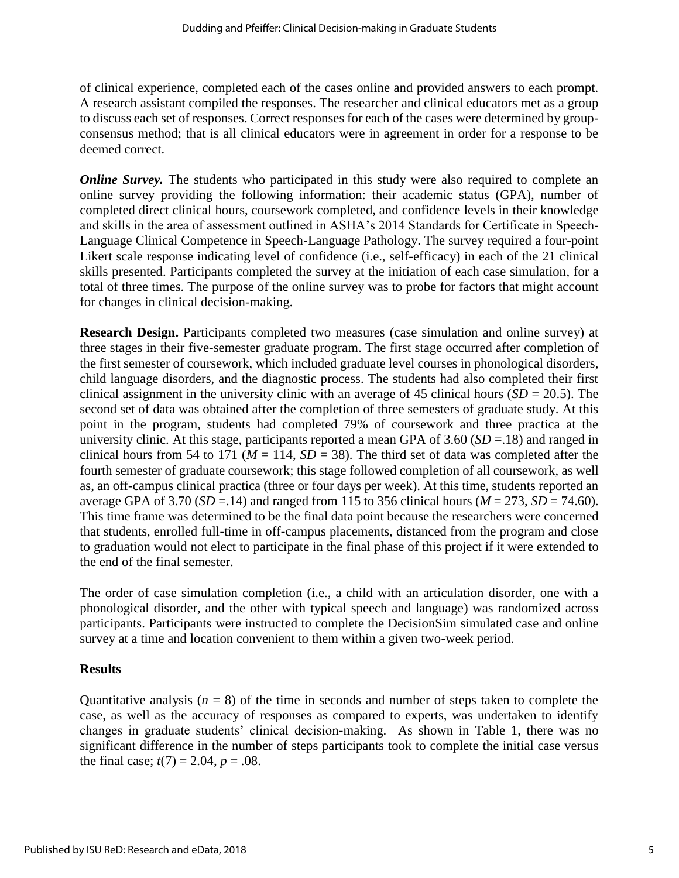of clinical experience, completed each of the cases online and provided answers to each prompt. A research assistant compiled the responses. The researcher and clinical educators met as a group to discuss each set of responses. Correct responses for each of the cases were determined by groupconsensus method; that is all clinical educators were in agreement in order for a response to be deemed correct.

*Online Survey.* The students who participated in this study were also required to complete an online survey providing the following information: their academic status (GPA), number of completed direct clinical hours, coursework completed, and confidence levels in their knowledge and skills in the area of assessment outlined in ASHA's 2014 Standards for Certificate in Speech-Language Clinical Competence in Speech-Language Pathology. The survey required a four-point Likert scale response indicating level of confidence (i.e., self-efficacy) in each of the 21 clinical skills presented. Participants completed the survey at the initiation of each case simulation, for a total of three times. The purpose of the online survey was to probe for factors that might account for changes in clinical decision-making.

**Research Design.** Participants completed two measures (case simulation and online survey) at three stages in their five-semester graduate program. The first stage occurred after completion of the first semester of coursework, which included graduate level courses in phonological disorders, child language disorders, and the diagnostic process. The students had also completed their first clinical assignment in the university clinic with an average of 45 clinical hours  $(SD = 20.5)$ . The second set of data was obtained after the completion of three semesters of graduate study. At this point in the program, students had completed 79% of coursework and three practica at the university clinic. At this stage, participants reported a mean GPA of 3.60 (*SD* =.18) and ranged in clinical hours from 54 to 171 ( $M = 114$ ,  $SD = 38$ ). The third set of data was completed after the fourth semester of graduate coursework; this stage followed completion of all coursework, as well as, an off-campus clinical practica (three or four days per week). At this time, students reported an average GPA of 3.70 ( $SD = .14$ ) and ranged from 115 to 356 clinical hours ( $M = 273$ ,  $SD = 74.60$ ). This time frame was determined to be the final data point because the researchers were concerned that students, enrolled full-time in off-campus placements, distanced from the program and close to graduation would not elect to participate in the final phase of this project if it were extended to the end of the final semester.

The order of case simulation completion (i.e., a child with an articulation disorder, one with a phonological disorder, and the other with typical speech and language) was randomized across participants. Participants were instructed to complete the DecisionSim simulated case and online survey at a time and location convenient to them within a given two-week period.

#### **Results**

Quantitative analysis  $(n = 8)$  of the time in seconds and number of steps taken to complete the case, as well as the accuracy of responses as compared to experts, was undertaken to identify changes in graduate students' clinical decision-making. As shown in Table 1, there was no significant difference in the number of steps participants took to complete the initial case versus the final case;  $t(7) = 2.04$ ,  $p = .08$ .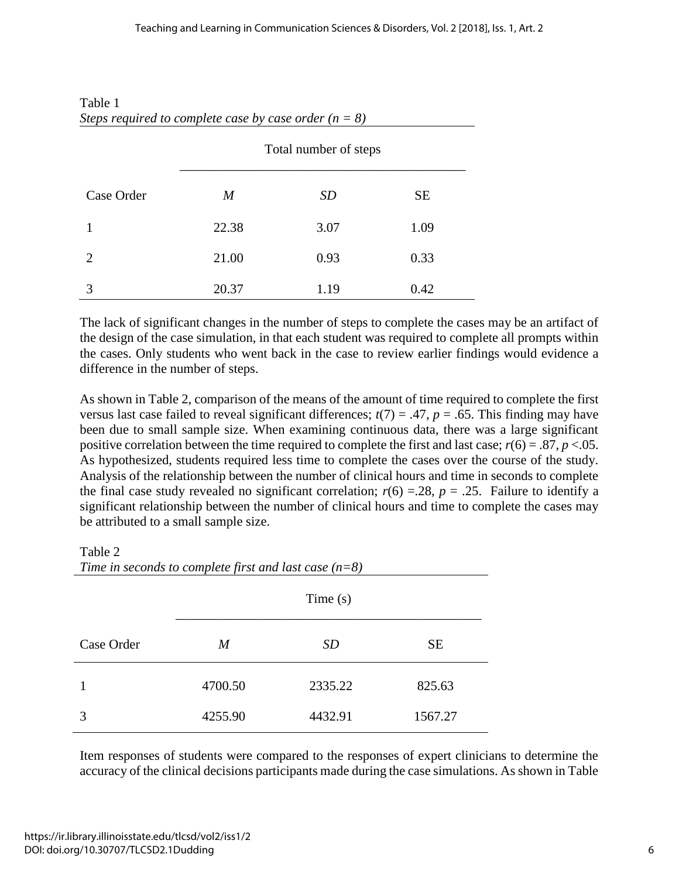|            | Total number of steps |           |      |
|------------|-----------------------|-----------|------|
| Case Order | $\boldsymbol{M}$      | <i>SD</i> | SE   |
|            | 22.38                 | 3.07      | 1.09 |
| 2          | 21.00                 | 0.93      | 0.33 |
| 3          | 20.37                 | 1.19      | 0.42 |

### Table 1 *Steps required to complete case by case order (n = 8)*

The lack of significant changes in the number of steps to complete the cases may be an artifact of the design of the case simulation, in that each student was required to complete all prompts within the cases. Only students who went back in the case to review earlier findings would evidence a difference in the number of steps.

As shown in Table 2, comparison of the means of the amount of time required to complete the first versus last case failed to reveal significant differences;  $t(7) = .47$ ,  $p = .65$ . This finding may have been due to small sample size. When examining continuous data, there was a large significant positive correlation between the time required to complete the first and last case;  $r(6) = .87$ ,  $p < .05$ . As hypothesized, students required less time to complete the cases over the course of the study. Analysis of the relationship between the number of clinical hours and time in seconds to complete the final case study revealed no significant correlation;  $r(6) = 28$ ,  $p = 0.25$ . Failure to identify a significant relationship between the number of clinical hours and time to complete the cases may be attributed to a small sample size.

Table 2

|            | Time $(s)$       |           |           |
|------------|------------------|-----------|-----------|
| Case Order | $\boldsymbol{M}$ | <i>SD</i> | <b>SE</b> |
|            | 4700.50          | 2335.22   | 825.63    |
| 3          | 4255.90          | 4432.91   | 1567.27   |

*Time in seconds to complete first and last case (n=8)*

Item responses of students were compared to the responses of expert clinicians to determine the accuracy of the clinical decisions participants made during the case simulations. As shown in Table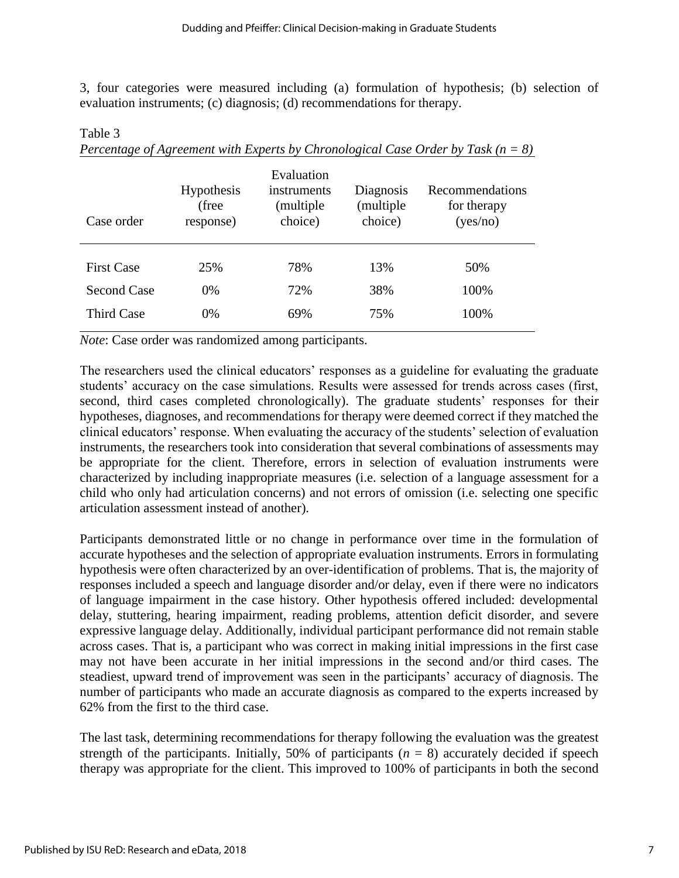3, four categories were measured including (a) formulation of hypothesis; (b) selection of evaluation instruments; (c) diagnosis; (d) recommendations for therapy.

| Case order                              | <b>Hypothesis</b><br>(free<br>response) | Evaluation<br>instruments<br>(multiple)<br>choice) | Diagnosis<br>(multiple<br>choice) | Recommendations<br>for therapy<br>(yes/no) |
|-----------------------------------------|-----------------------------------------|----------------------------------------------------|-----------------------------------|--------------------------------------------|
| <b>First Case</b><br><b>Second Case</b> | 25%<br>0%                               | 78%<br>72%                                         | 13%<br>38%                        | 50%<br>100%                                |
| Third Case                              | 0%                                      | 69%                                                | 75%                               | 100%                                       |

*Percentage of Agreement with Experts by Chronological Case Order by Task (n = 8)*

*Note*: Case order was randomized among participants.

Table 3

The researchers used the clinical educators' responses as a guideline for evaluating the graduate students' accuracy on the case simulations. Results were assessed for trends across cases (first, second, third cases completed chronologically). The graduate students' responses for their hypotheses, diagnoses, and recommendations for therapy were deemed correct if they matched the clinical educators' response. When evaluating the accuracy of the students' selection of evaluation instruments, the researchers took into consideration that several combinations of assessments may be appropriate for the client. Therefore, errors in selection of evaluation instruments were characterized by including inappropriate measures (i.e. selection of a language assessment for a child who only had articulation concerns) and not errors of omission (i.e. selecting one specific articulation assessment instead of another).

Participants demonstrated little or no change in performance over time in the formulation of accurate hypotheses and the selection of appropriate evaluation instruments. Errors in formulating hypothesis were often characterized by an over-identification of problems. That is, the majority of responses included a speech and language disorder and/or delay, even if there were no indicators of language impairment in the case history. Other hypothesis offered included: developmental delay, stuttering, hearing impairment, reading problems, attention deficit disorder, and severe expressive language delay. Additionally, individual participant performance did not remain stable across cases. That is, a participant who was correct in making initial impressions in the first case may not have been accurate in her initial impressions in the second and/or third cases. The steadiest, upward trend of improvement was seen in the participants' accuracy of diagnosis. The number of participants who made an accurate diagnosis as compared to the experts increased by 62% from the first to the third case.

The last task, determining recommendations for therapy following the evaluation was the greatest strength of the participants. Initially, 50% of participants  $(n = 8)$  accurately decided if speech therapy was appropriate for the client. This improved to 100% of participants in both the second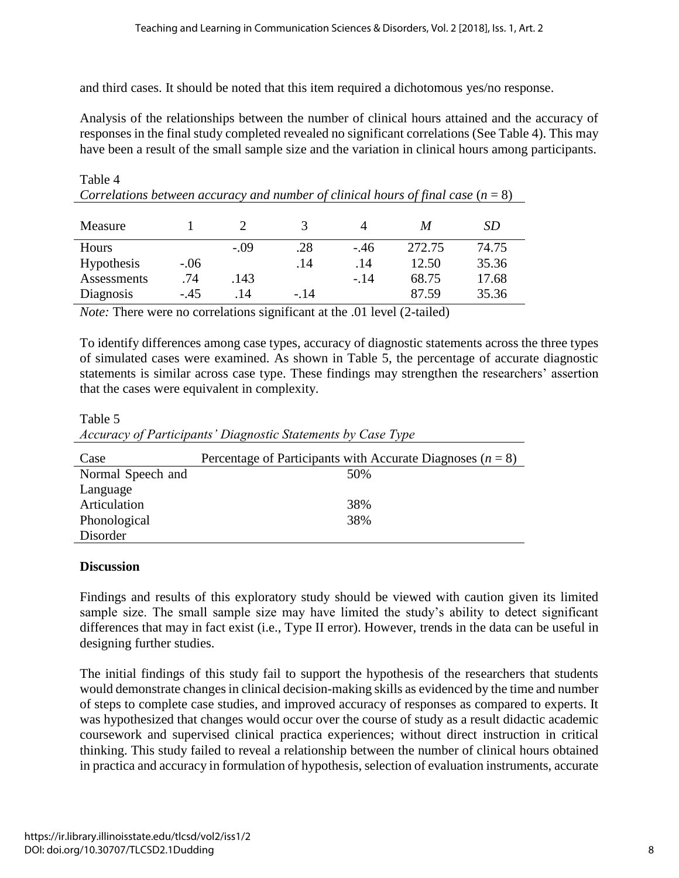and third cases. It should be noted that this item required a dichotomous yes/no response.

Analysis of the relationships between the number of clinical hours attained and the accuracy of responses in the final study completed revealed no significant correlations (See Table 4). This may have been a result of the small sample size and the variation in clinical hours among participants.

Table 4 *Correlations between accuracy and number of clinical hours of final case* (*n* = 8)

| Measure     |        |        |        |       | M      | SD    |
|-------------|--------|--------|--------|-------|--------|-------|
| Hours       |        | $-.09$ | .28    | $-46$ | 272.75 | 74.75 |
| Hypothesis  | $-.06$ |        | .14    | .14   | 12.50  | 35.36 |
| Assessments | .74    | .143   |        | $-14$ | 68.75  | 17.68 |
| Diagnosis   | $-.45$ | 14     | $-.14$ |       | 87.59  | 35.36 |

*Note:* There were no correlations significant at the .01 level (2-tailed)

To identify differences among case types, accuracy of diagnostic statements across the three types of simulated cases were examined. As shown in Table 5, the percentage of accurate diagnostic statements is similar across case type. These findings may strengthen the researchers' assertion that the cases were equivalent in complexity.

Table 5 *Accuracy of Participants' Diagnostic Statements by Case Type*

| Case              | Percentage of Participants with Accurate Diagnoses ( $n = 8$ ) |
|-------------------|----------------------------------------------------------------|
| Normal Speech and | 50%                                                            |
| Language          |                                                                |
| Articulation      | 38%                                                            |
| Phonological      | 38%                                                            |
| Disorder          |                                                                |

#### **Discussion**

Findings and results of this exploratory study should be viewed with caution given its limited sample size. The small sample size may have limited the study's ability to detect significant differences that may in fact exist (i.e., Type II error). However, trends in the data can be useful in designing further studies.

The initial findings of this study fail to support the hypothesis of the researchers that students would demonstrate changes in clinical decision-making skills as evidenced by the time and number of steps to complete case studies, and improved accuracy of responses as compared to experts. It was hypothesized that changes would occur over the course of study as a result didactic academic coursework and supervised clinical practica experiences; without direct instruction in critical thinking. This study failed to reveal a relationship between the number of clinical hours obtained in practica and accuracy in formulation of hypothesis, selection of evaluation instruments, accurate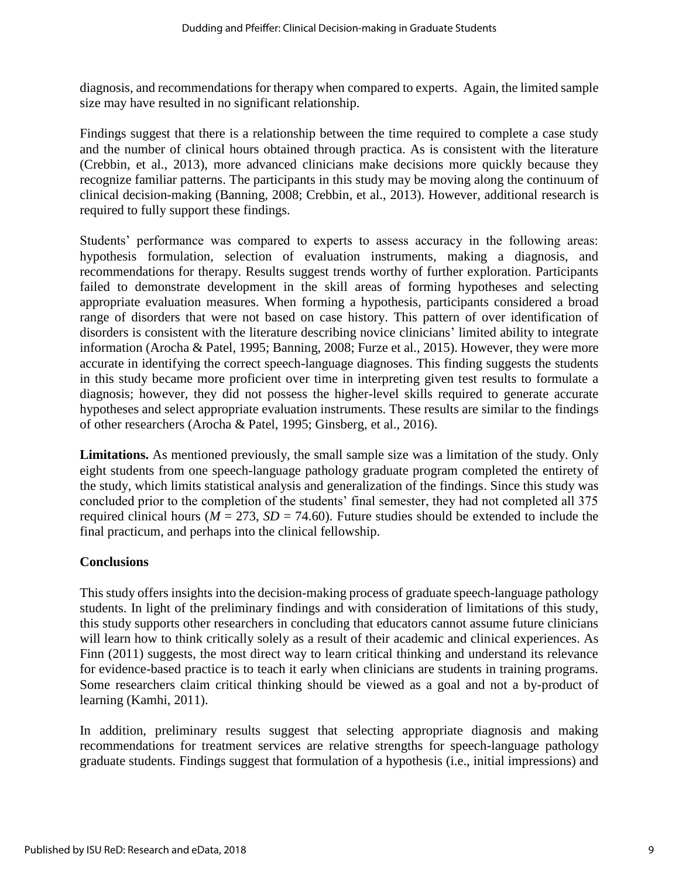diagnosis, and recommendations for therapy when compared to experts. Again, the limited sample size may have resulted in no significant relationship.

Findings suggest that there is a relationship between the time required to complete a case study and the number of clinical hours obtained through practica. As is consistent with the literature (Crebbin, et al., 2013), more advanced clinicians make decisions more quickly because they recognize familiar patterns. The participants in this study may be moving along the continuum of clinical decision-making (Banning, 2008; Crebbin, et al., 2013). However, additional research is required to fully support these findings.

Students' performance was compared to experts to assess accuracy in the following areas: hypothesis formulation, selection of evaluation instruments, making a diagnosis, and recommendations for therapy. Results suggest trends worthy of further exploration. Participants failed to demonstrate development in the skill areas of forming hypotheses and selecting appropriate evaluation measures. When forming a hypothesis, participants considered a broad range of disorders that were not based on case history. This pattern of over identification of disorders is consistent with the literature describing novice clinicians' limited ability to integrate information (Arocha & Patel, 1995; Banning, 2008; Furze et al., 2015). However, they were more accurate in identifying the correct speech-language diagnoses. This finding suggests the students in this study became more proficient over time in interpreting given test results to formulate a diagnosis; however, they did not possess the higher-level skills required to generate accurate hypotheses and select appropriate evaluation instruments. These results are similar to the findings of other researchers (Arocha & Patel, 1995; Ginsberg, et al., 2016).

**Limitations.** As mentioned previously, the small sample size was a limitation of the study. Only eight students from one speech-language pathology graduate program completed the entirety of the study, which limits statistical analysis and generalization of the findings. Since this study was concluded prior to the completion of the students' final semester, they had not completed all 375 required clinical hours ( $M = 273$ ,  $SD = 74.60$ ). Future studies should be extended to include the final practicum, and perhaps into the clinical fellowship.

#### **Conclusions**

This study offers insights into the decision-making process of graduate speech-language pathology students. In light of the preliminary findings and with consideration of limitations of this study, this study supports other researchers in concluding that educators cannot assume future clinicians will learn how to think critically solely as a result of their academic and clinical experiences. As Finn (2011) suggests, the most direct way to learn critical thinking and understand its relevance for evidence-based practice is to teach it early when clinicians are students in training programs. Some researchers claim critical thinking should be viewed as a goal and not a by-product of learning (Kamhi, 2011).

In addition, preliminary results suggest that selecting appropriate diagnosis and making recommendations for treatment services are relative strengths for speech-language pathology graduate students. Findings suggest that formulation of a hypothesis (i.e., initial impressions) and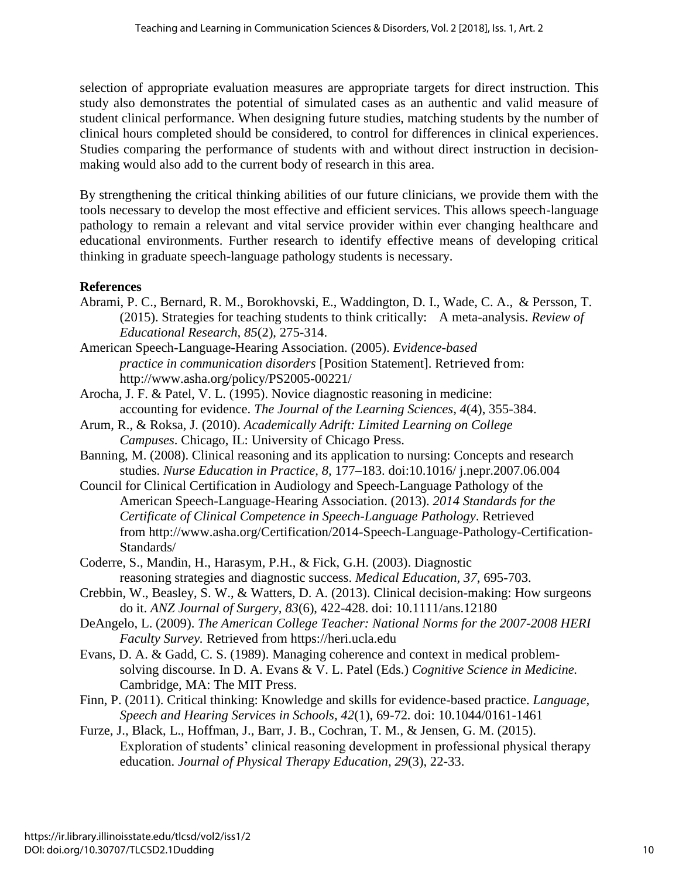selection of appropriate evaluation measures are appropriate targets for direct instruction. This study also demonstrates the potential of simulated cases as an authentic and valid measure of student clinical performance. When designing future studies, matching students by the number of clinical hours completed should be considered, to control for differences in clinical experiences. Studies comparing the performance of students with and without direct instruction in decisionmaking would also add to the current body of research in this area.

By strengthening the critical thinking abilities of our future clinicians, we provide them with the tools necessary to develop the most effective and efficient services. This allows speech-language pathology to remain a relevant and vital service provider within ever changing healthcare and educational environments. Further research to identify effective means of developing critical thinking in graduate speech-language pathology students is necessary.

## **References**

- Abrami, P. C., Bernard, R. M., Borokhovski, E., Waddington, D. I., Wade, C. A., & Persson, T. (2015). Strategies for teaching students to think critically: A meta-analysis. *Review of Educational Research, 85*(2), 275-314.
- American Speech-Language-Hearing Association. (2005). *Evidence-based practice in communication disorders* [Position Statement]. Retrieved from: http://www.asha.org/policy/PS2005-00221/
- Arocha, J. F. & Patel, V. L. (1995). Novice diagnostic reasoning in medicine: accounting for evidence. *The Journal of the Learning Sciences, 4*(4), 355-384.
- Arum, R., & Roksa, J. (2010). *Academically Adrift: Limited Learning on College Campuses*. Chicago, IL: University of Chicago Press.
- Banning, M. (2008). Clinical reasoning and its application to nursing: Concepts and research studies. *Nurse Education in Practice, 8,* 177–183. doi:10.1016/ j.nepr.2007.06.004
- Council for Clinical Certification in Audiology and Speech-Language Pathology of the American Speech-Language-Hearing Association. (2013). *2014 Standards for the Certificate of Clinical Competence in Speech-Language Pathology*. Retrieved from [http://www.asha.org/Certification/2014-S](http://www.asha.org/Certification/2014-)peech-Language-Pathology-Certification-Standards/
- Coderre, S., Mandin, H., Harasym, P.H., & Fick, G.H. (2003). Diagnostic reasoning strategies and diagnostic success. *Medical Education, 37*, 695-703.
- Crebbin, W., Beasley, S. W., & Watters, D. A. (2013). Clinical decision-making: How surgeons do it. *ANZ Journal of Surgery, 83*(6), 422-428. doi: 10.1111/ans.12180
- DeAngelo, L. (2009). *The American College Teacher: National Norms for the 2007-2008 HERI Faculty Survey.* Retrieved from [https://heri.ucla.edu](https://heri.ucla.edu/)
- Evans, D. A. & Gadd, C. S. (1989). Managing coherence and context in medical problemsolving discourse. In D. A. Evans & V. L. Patel (Eds.) *Cognitive Science in Medicine.* Cambridge, MA: The MIT Press.
- Finn, P. (2011). Critical thinking: Knowledge and skills for evidence-based practice. *Language, Speech and Hearing Services in Schools, 42*(1), 69-72*.* doi: 10.1044/0161-1461
- Furze, J., Black, L., Hoffman, J., Barr, J. B., Cochran, T. M., & Jensen, G. M. (2015). Exploration of students' clinical reasoning development in professional physical therapy education. *Journal of Physical Therapy Education, 29*(3), 22-33.